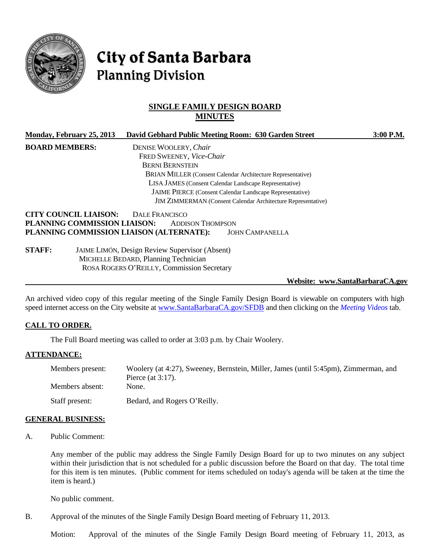

# City of Santa Barbara **Planning Division**

# **SINGLE FAMILY DESIGN BOARD MINUTES**

| Monday, February 25, 2013                                    | David Gebhard Public Meeting Room: 630 Garden Street                | $3:00$ P.M. |
|--------------------------------------------------------------|---------------------------------------------------------------------|-------------|
| <b>BOARD MEMBERS:</b>                                        | DENISE WOOLERY, Chair                                               |             |
|                                                              | FRED SWEENEY, Vice-Chair                                            |             |
|                                                              | <b>BERNI BERNSTEIN</b>                                              |             |
|                                                              | BRIAN MILLER (Consent Calendar Architecture Representative)         |             |
|                                                              | LISA JAMES (Consent Calendar Landscape Representative)              |             |
|                                                              | <b>JAIME PIERCE</b> (Consent Calendar Landscape Representative)     |             |
|                                                              | <b>JIM ZIMMERMAN</b> (Consent Calendar Architecture Representative) |             |
| <b>CITY COUNCIL LIAISON:</b><br>PLANNING COMMISSION LIAISON: | DALE FRANCISCO<br><b>ADDISON THOMPSON</b>                           |             |
| PLANNING COMMISSION LIAISON (ALTERNATE):                     | <b>JOHN CAMPANELLA</b>                                              |             |

**STAFF:** JAIME LIMÓN, Design Review Supervisor (Absent) MICHELLE BEDARD, Planning Technician ROSA ROGERS O'REILLY, Commission Secretary

#### **Website: www.SantaBarbaraCA.gov**

An archived video copy of this regular meeting of the Single Family Design Board is viewable on computers with high speed internet access on the City website at [www.SantaBarbaraCA.gov/SFDB](http://www.santabarbaraca.gov/SFDB) and then clicking on the *Meeting Videos* tab.

#### **CALL TO ORDER.**

The Full Board meeting was called to order at 3:03 p.m. by Chair Woolery.

#### **ATTENDANCE:**

| Members present: | Woolery (at 4:27), Sweeney, Bernstein, Miller, James (until 5:45pm), Zimmerman, and<br>Pierce (at $3:17$ ). |
|------------------|-------------------------------------------------------------------------------------------------------------|
| Members absent:  | None.                                                                                                       |
| Staff present:   | Bedard, and Rogers O'Reilly.                                                                                |

#### **GENERAL BUSINESS:**

A. Public Comment:

Any member of the public may address the Single Family Design Board for up to two minutes on any subject within their jurisdiction that is not scheduled for a public discussion before the Board on that day. The total time for this item is ten minutes. (Public comment for items scheduled on today's agenda will be taken at the time the item is heard.)

No public comment.

B. Approval of the minutes of the Single Family Design Board meeting of February 11, 2013.

Motion: Approval of the minutes of the Single Family Design Board meeting of February 11, 2013, as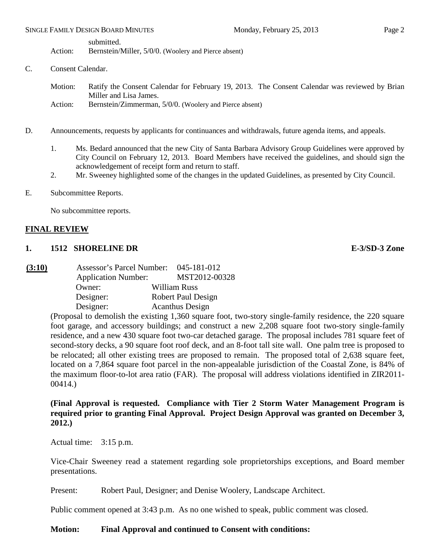submitted.

Action: Bernstein/Miller, 5/0/0. (Woolery and Pierce absent)

- C. Consent Calendar.
	- Motion: Ratify the Consent Calendar for February 19, 2013. The Consent Calendar was reviewed by Brian Miller and Lisa James.
	- Action: Bernstein/Zimmerman, 5/0/0. (Woolery and Pierce absent)
- D. Announcements, requests by applicants for continuances and withdrawals, future agenda items, and appeals.
	- 1. Ms. Bedard announced that the new City of Santa Barbara Advisory Group Guidelines were approved by City Council on February 12, 2013. Board Members have received the guidelines, and should sign the acknowledgement of receipt form and return to staff.
	- 2. Mr. Sweeney highlighted some of the changes in the updated Guidelines, as presented by City Council.
- E. Subcommittee Reports.

No subcommittee reports.

#### **FINAL REVIEW**

#### **1. 1512 SHORELINE DR E-3/SD-3 Zone**

**(3:10)** Assessor's Parcel Number: 045-181-012 Application Number: MST2012-00328 Owner: William Russ Designer: Robert Paul Design Designer: Acanthus Design

> (Proposal to demolish the existing 1,360 square foot, two-story single-family residence, the 220 square foot garage, and accessory buildings; and construct a new 2,208 square foot two-story single-family residence, and a new 430 square foot two-car detached garage. The proposal includes 781 square feet of second-story decks, a 90 square foot roof deck, and an 8-foot tall site wall. One palm tree is proposed to be relocated; all other existing trees are proposed to remain. The proposed total of 2,638 square feet, located on a 7,864 square foot parcel in the non-appealable jurisdiction of the Coastal Zone, is 84% of the maximum floor-to-lot area ratio (FAR). The proposal will address violations identified in ZIR2011- 00414.)

#### **(Final Approval is requested. Compliance with Tier 2 Storm Water Management Program is required prior to granting Final Approval. Project Design Approval was granted on December 3, 2012.)**

Actual time: 3:15 p.m.

Vice-Chair Sweeney read a statement regarding sole proprietorships exceptions, and Board member presentations.

Present: Robert Paul, Designer; and Denise Woolery, Landscape Architect.

Public comment opened at 3:43 p.m. As no one wished to speak, public comment was closed.

#### **Motion: Final Approval and continued to Consent with conditions:**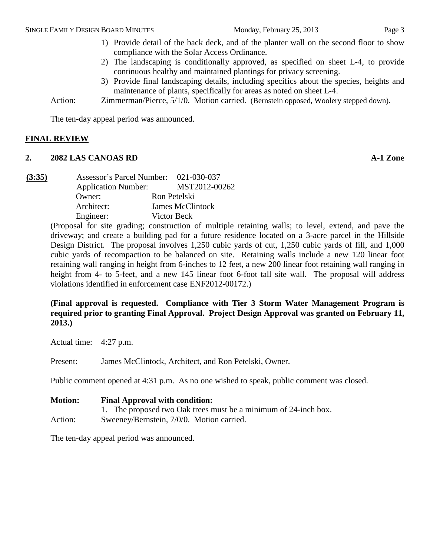- 1) Provide detail of the back deck, and of the planter wall on the second floor to show compliance with the Solar Access Ordinance.
- 2) The landscaping is conditionally approved, as specified on sheet L-4, to provide continuous healthy and maintained plantings for privacy screening.
- 3) Provide final landscaping details, including specifics about the species, heights and maintenance of plants, specifically for areas as noted on sheet L-4.

Action: *Zimmerman/Pierce, 5/1/0.* Motion carried. (Bernstein opposed, Woolery stepped down).

The ten-day appeal period was announced.

## **FINAL REVIEW**

#### **2. 2082 LAS CANOAS RD A-1 Zone**

**(3:35)** Assessor's Parcel Number: 021-030-037 Application Number: MST2012-00262 Owner: Ron Petelski Architect: James McClintock Engineer: Victor Beck

> (Proposal for site grading; construction of multiple retaining walls; to level, extend, and pave the driveway; and create a building pad for a future residence located on a 3-acre parcel in the Hillside Design District. The proposal involves 1,250 cubic yards of cut, 1,250 cubic yards of fill, and 1,000 cubic yards of recompaction to be balanced on site. Retaining walls include a new 120 linear foot retaining wall ranging in height from 6-inches to 12 feet, a new 200 linear foot retaining wall ranging in height from 4- to 5-feet, and a new 145 linear foot 6-foot tall site wall. The proposal will address violations identified in enforcement case ENF2012-00172.)

# **(Final approval is requested. Compliance with Tier 3 Storm Water Management Program is required prior to granting Final Approval. Project Design Approval was granted on February 11, 2013.)**

Actual time: 4:27 p.m.

Present: James McClintock, Architect, and Ron Petelski, Owner.

Public comment opened at 4:31 p.m. As no one wished to speak, public comment was closed.

| <b>Motion:</b> | <b>Final Approval with condition:</b>                           |
|----------------|-----------------------------------------------------------------|
|                | 1. The proposed two Oak trees must be a minimum of 24-inch box. |
| Action:        | Sweeney/Bernstein, 7/0/0. Motion carried.                       |

The ten-day appeal period was announced.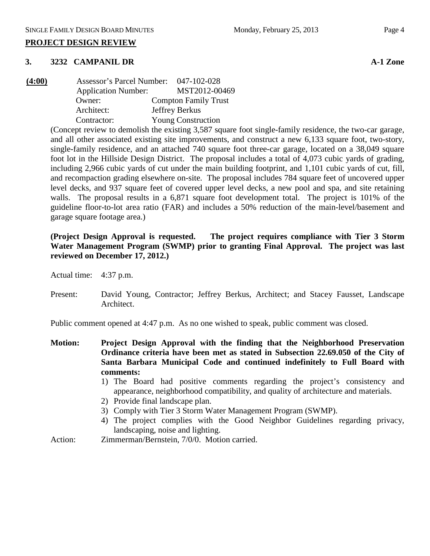#### **3. 3232 CAMPANIL DR A-1 Zone**

| (4:00) | Assessor's Parcel Number:  | 047-102-028                 |
|--------|----------------------------|-----------------------------|
|        | <b>Application Number:</b> | MST2012-00469               |
|        | Owner:                     | <b>Compton Family Trust</b> |
|        | Architect:                 | Jeffrey Berkus              |
|        | Contractor:                | <b>Young Construction</b>   |

(Concept review to demolish the existing 3,587 square foot single-family residence, the two-car garage, and all other associated existing site improvements, and construct a new 6,133 square foot, two-story, single-family residence, and an attached 740 square foot three-car garage, located on a 38,049 square foot lot in the Hillside Design District. The proposal includes a total of 4,073 cubic yards of grading, including 2,966 cubic yards of cut under the main building footprint, and 1,101 cubic yards of cut, fill, and recompaction grading elsewhere on-site. The proposal includes 784 square feet of uncovered upper level decks, and 937 square feet of covered upper level decks, a new pool and spa, and site retaining walls. The proposal results in a 6,871 square foot development total. The project is 101% of the guideline floor-to-lot area ratio (FAR) and includes a 50% reduction of the main-level/basement and garage square footage area.)

## **(Project Design Approval is requested. The project requires compliance with Tier 3 Storm Water Management Program (SWMP) prior to granting Final Approval. The project was last reviewed on December 17, 2012.)**

Actual time: 4:37 p.m.

Present: David Young, Contractor; Jeffrey Berkus, Architect; and Stacey Fausset, Landscape Architect.

Public comment opened at 4:47 p.m. As no one wished to speak, public comment was closed.

- **Motion: Project Design Approval with the finding that the Neighborhood Preservation Ordinance criteria have been met as stated in Subsection 22.69.050 of the City of Santa Barbara Municipal Code and continued indefinitely to Full Board with comments:**
	- 1) The Board had positive comments regarding the project's consistency and appearance, neighborhood compatibility, and quality of architecture and materials.
	- 2) Provide final landscape plan.
	- 3) Comply with Tier 3 Storm Water Management Program (SWMP).
	- 4) The project complies with the Good Neighbor Guidelines regarding privacy, landscaping, noise and lighting.
- Action: Zimmerman/Bernstein, 7/0/0. Motion carried.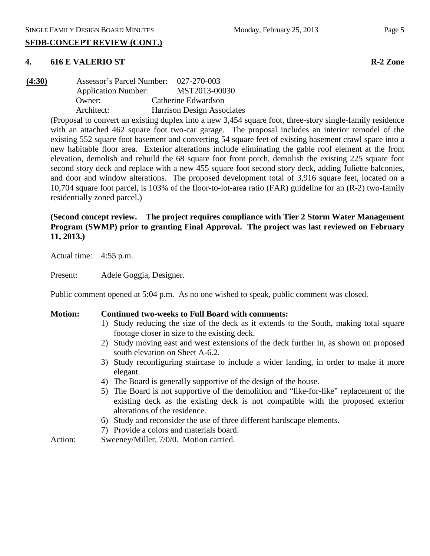## **SFDB-CONCEPT REVIEW (CONT.)**

# **4. 616 E VALERIO ST R-2 Zone**

**(4:30)** Assessor's Parcel Number: 027-270-003 Application Number: MST2013-00030 Owner: Catherine Edwardson Architect: Harrison Design Associates

(Proposal to convert an existing duplex into a new 3,454 square foot, three-story single-family residence with an attached 462 square foot two-car garage. The proposal includes an interior remodel of the existing 552 square foot basement and converting 54 square feet of existing basement crawl space into a new habitable floor area. Exterior alterations include eliminating the gable roof element at the front elevation, demolish and rebuild the 68 square foot front porch, demolish the existing 225 square foot second story deck and replace with a new 455 square foot second story deck, adding Juliette balconies, and door and window alterations. The proposed development total of 3,916 square feet, located on a 10,704 square foot parcel, is 103% of the floor-to-lot-area ratio (FAR) guideline for an (R-2) two-family residentially zoned parcel.)

# **(Second concept review. The project requires compliance with Tier 2 Storm Water Management Program (SWMP) prior to granting Final Approval. The project was last reviewed on February 11, 2013.)**

Actual time: 4:55 p.m.

Present: Adele Goggia, Designer.

Public comment opened at 5:04 p.m. As no one wished to speak, public comment was closed.

# **Motion: Continued two-weeks to Full Board with comments:**

- 1) Study reducing the size of the deck as it extends to the South, making total square footage closer in size to the existing deck.
- 2) Study moving east and west extensions of the deck further in, as shown on proposed south elevation on Sheet A-6.2.
- 3) Study reconfiguring staircase to include a wider landing, in order to make it more elegant.
- 4) The Board is generally supportive of the design of the house.
- 5) The Board is not supportive of the demolition and "like-for-like" replacement of the existing deck as the existing deck is not compatible with the proposed exterior alterations of the residence.
- 6) Study and reconsider the use of three different hardscape elements.
- 7) Provide a colors and materials board.

Action: Sweeney/Miller, 7/0/0. Motion carried.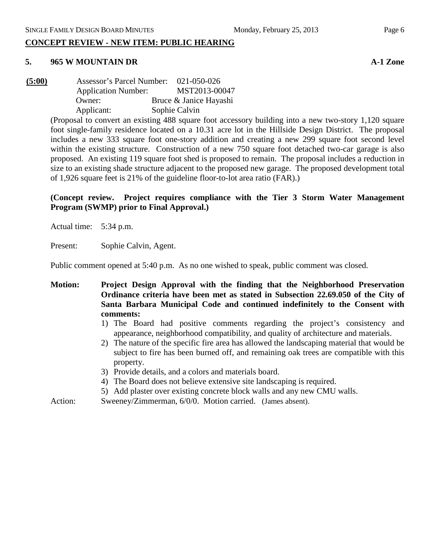## **CONCEPT REVIEW - NEW ITEM: PUBLIC HEARING**

# **5. 965 W MOUNTAIN DR A-1 Zone**

**(5:00)** Assessor's Parcel Number: 021-050-026 Application Number: MST2013-00047 Owner: Bruce & Janice Hayashi Applicant: Sophie Calvin

(Proposal to convert an existing 488 square foot accessory building into a new two-story 1,120 square foot single-family residence located on a 10.31 acre lot in the Hillside Design District. The proposal includes a new 333 square foot one-story addition and creating a new 299 square foot second level within the existing structure. Construction of a new 750 square foot detached two-car garage is also proposed. An existing 119 square foot shed is proposed to remain. The proposal includes a reduction in size to an existing shade structure adjacent to the proposed new garage. The proposed development total of 1,926 square feet is 21% of the guideline floor-to-lot area ratio (FAR).)

**(Concept review. Project requires compliance with the Tier 3 Storm Water Management Program (SWMP) prior to Final Approval.)**

Actual time: 5:34 p.m.

Present: Sophie Calvin, Agent.

Public comment opened at 5:40 p.m. As no one wished to speak, public comment was closed.

**Motion: Project Design Approval with the finding that the Neighborhood Preservation Ordinance criteria have been met as stated in Subsection 22.69.050 of the City of Santa Barbara Municipal Code and continued indefinitely to the Consent with comments:**

- 1) The Board had positive comments regarding the project's consistency and appearance, neighborhood compatibility, and quality of architecture and materials.
- 2) The nature of the specific fire area has allowed the landscaping material that would be subject to fire has been burned off, and remaining oak trees are compatible with this property.
- 3) Provide details, and a colors and materials board.
- 4) The Board does not believe extensive site landscaping is required.
- 5) Add plaster over existing concrete block walls and any new CMU walls.

Action: Sweeney/Zimmerman, 6/0/0. Motion carried. (James absent).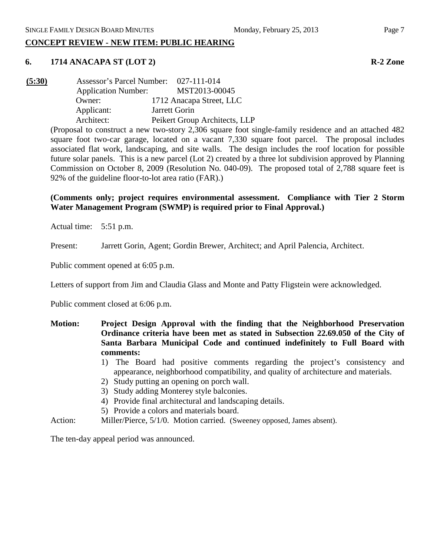# **CONCEPT REVIEW - NEW ITEM: PUBLIC HEARING**

#### **6. 1714 ANACAPA ST (LOT 2) R-2 Zone**

| (5:30) | <b>Assessor's Parcel Number:</b> |               | 027-111-014                   |
|--------|----------------------------------|---------------|-------------------------------|
|        | <b>Application Number:</b>       |               | MST2013-00045                 |
|        | Owner:                           |               | 1712 Anacapa Street, LLC      |
|        | Applicant:                       | Jarrett Gorin |                               |
|        | Architect:                       |               | Peikert Group Architects, LLP |
|        |                                  |               |                               |

(Proposal to construct a new two-story 2,306 square foot single-family residence and an attached 482 square foot two-car garage, located on a vacant 7,330 square foot parcel. The proposal includes associated flat work, landscaping, and site walls. The design includes the roof location for possible future solar panels. This is a new parcel (Lot 2) created by a three lot subdivision approved by Planning Commission on October 8, 2009 (Resolution No. 040-09). The proposed total of 2,788 square feet is 92% of the guideline floor-to-lot area ratio (FAR).)

#### **(Comments only; project requires environmental assessment. Compliance with Tier 2 Storm Water Management Program (SWMP) is required prior to Final Approval.)**

Actual time: 5:51 p.m.

Present: Jarrett Gorin, Agent; Gordin Brewer, Architect; and April Palencia, Architect.

Public comment opened at 6:05 p.m.

Letters of support from Jim and Claudia Glass and Monte and Patty Fligstein were acknowledged.

Public comment closed at 6:06 p.m.

- **Motion: Project Design Approval with the finding that the Neighborhood Preservation Ordinance criteria have been met as stated in Subsection 22.69.050 of the City of Santa Barbara Municipal Code and continued indefinitely to Full Board with comments:**
	- 1) The Board had positive comments regarding the project's consistency and appearance, neighborhood compatibility, and quality of architecture and materials.
	- 2) Study putting an opening on porch wall.
	- 3) Study adding Monterey style balconies.
	- 4) Provide final architectural and landscaping details.
	- 5) Provide a colors and materials board.
- Action: Miller/Pierce, 5/1/0. Motion carried. (Sweeney opposed, James absent).

The ten-day appeal period was announced.